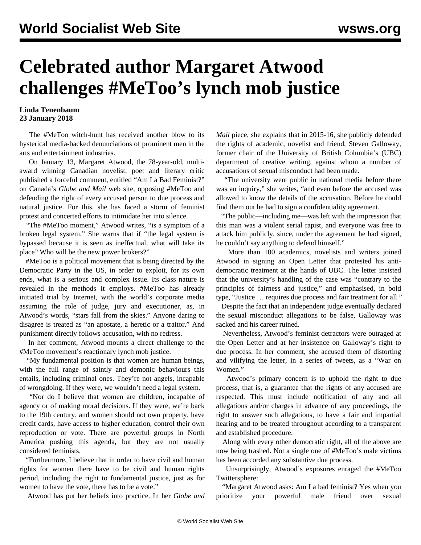## **Celebrated author Margaret Atwood challenges #MeToo's lynch mob justice**

## **Linda Tenenbaum 23 January 2018**

 The #MeToo witch-hunt has received another blow to its hysterical media-backed denunciations of prominent men in the arts and entertainment industries.

 On January 13, Margaret Atwood, the 78-year-old, multiaward winning Canadian novelist, poet and literary critic published a forceful comment, entitled "Am I a Bad Feminist?" on Canada's *Globe and Mail* web site, opposing #MeToo and defending the right of every accused person to due process and natural justice. For this, she has faced a storm of feminist protest and concerted efforts to intimidate her into silence.

 "The #MeToo moment," Atwood writes, "is a symptom of a broken legal system." She warns that if "the legal system is bypassed because it is seen as ineffectual, what will take its place? Who will be the new power brokers?"

 #MeToo is a political movement that is being directed by the Democratic Party in the US, in order to exploit, for its own ends, what is a serious and complex issue. Its class nature is revealed in the methods it employs. #MeToo has already initiated trial by Internet, with the world's corporate media assuming the role of judge, jury and executioner, as, in Atwood's words, "stars fall from the skies." Anyone daring to disagree is treated as "an apostate, a heretic or a traitor." And punishment directly follows accusation, with no redress.

 In her comment, Atwood mounts a direct challenge to the #MeToo movement's reactionary lynch mob justice.

 "My fundamental position is that women are human beings, with the full range of saintly and demonic behaviours this entails, including criminal ones. They're not angels, incapable of wrongdoing. If they were, we wouldn't need a legal system.

 "Nor do I believe that women are children, incapable of agency or of making moral decisions. If they were, we're back to the 19th century, and women should not own property, have credit cards, have access to higher education, control their own reproduction or vote. There are powerful groups in North America pushing this agenda, but they are not usually considered feminists.

 "Furthermore, I believe that in order to have civil and human rights for women there have to be civil and human rights period, including the right to fundamental justice, just as for women to have the vote, there has to be a vote."

Atwood has put her beliefs into practice. In her *Globe and*

*Mail* piece, she explains that in 2015-16, she publicly defended the rights of academic, novelist and friend, Steven Galloway, former chair of the University of British Columbia's (UBC) department of creative writing, against whom a number of accusations of sexual misconduct had been made.

 "The university went public in national media before there was an inquiry," she writes, "and even before the accused was allowed to know the details of the accusation. Before he could find them out he had to sign a confidentiality agreement.

 "The public—including me—was left with the impression that this man was a violent serial rapist, and everyone was free to attack him publicly, since, under the agreement he had signed, he couldn't say anything to defend himself."

 More than 100 academics, novelists and writers joined Atwood in signing an Open Letter that protested his antidemocratic treatment at the hands of UBC. The letter insisted that the university's handling of the case was "contrary to the principles of fairness and justice," and emphasised, in bold type, "Justice … requires due process and fair treatment for all."

 Despite the fact that an independent judge eventually declared the sexual misconduct allegations to be false, Galloway was sacked and his career ruined.

 Nevertheless, Atwood's feminist detractors were outraged at the Open Letter and at her insistence on Galloway's right to due process. In her comment, she accused them of distorting and vilifying the letter, in a series of tweets, as a "War on Women."

 Atwood's primary concern is to uphold the right to due process, that is, a guarantee that the rights of any accused are respected. This must include notification of any and all allegations and/or charges in advance of any proceedings, the right to answer such allegations, to have a fair and impartial hearing and to be treated throughout according to a transparent and established procedure.

 Along with every other democratic right, all of the above are now being trashed. Not a single one of #MeToo's male victims has been accorded any substantive due process.

 Unsurprisingly, Atwood's exposures enraged the #MeToo Twittersphere:

 "Margaret Atwood asks: Am I a bad feminist? Yes when you prioritize your powerful male friend over sexual